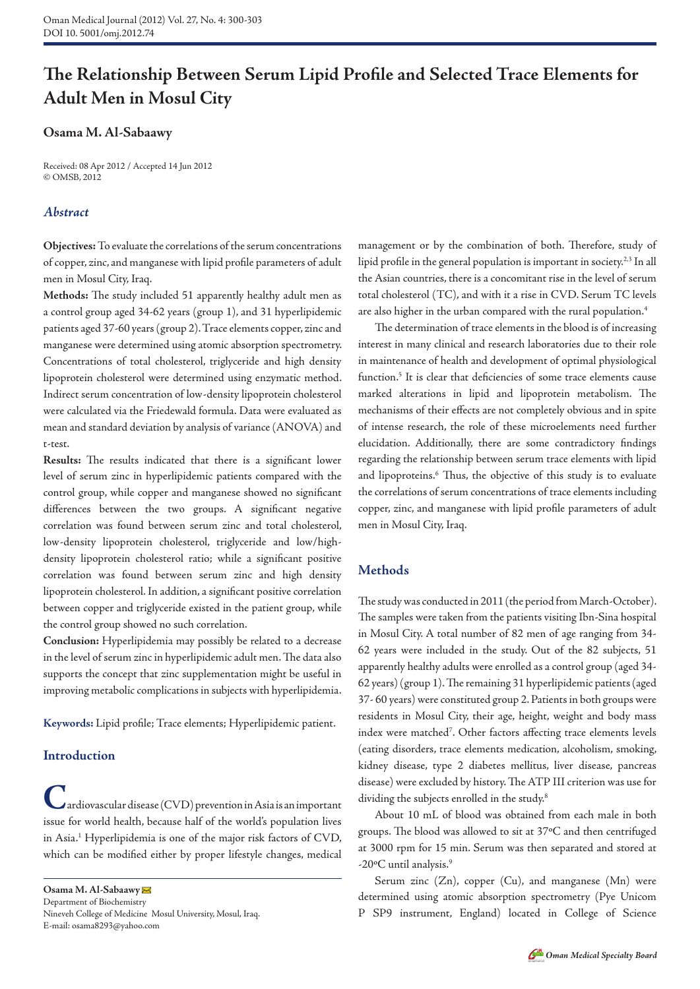# **The Relationship Between Serum Lipid Profile and Selected Trace Elements for Adult Men in Mosul City**

## **Osama M. Al-Sabaawy**

Received: 08 Apr 2012 / Accepted 14 Jun 2012 © OMSB, 2012

## *Abstract*

**Objectives:** To evaluate the correlations of the serum concentrations of copper, zinc, and manganese with lipid profile parameters of adult men in Mosul City, Iraq.

**Methods:** The study included 51 apparently healthy adult men as a control group aged 34-62 years (group 1), and 31 hyperlipidemic patients aged 37-60 years (group 2). Trace elements copper, zinc and manganese were determined using atomic absorption spectrometry. Concentrations of total cholesterol, triglyceride and high density lipoprotein cholesterol were determined using enzymatic method. Indirect serum concentration of low-density lipoprotein cholesterol were calculated via the Friedewald formula. Data were evaluated as mean and standard deviation by analysis of variance (ANOVA) and t-test.

**Results:** The results indicated that there is a significant lower level of serum zinc in hyperlipidemic patients compared with the control group, while copper and manganese showed no significant differences between the two groups. A significant negative correlation was found between serum zinc and total cholesterol, low-density lipoprotein cholesterol, triglyceride and low/highdensity lipoprotein cholesterol ratio; while a significant positive correlation was found between serum zinc and high density lipoprotein cholesterol. In addition, a significant positive correlation between copper and triglyceride existed in the patient group, while the control group showed no such correlation.

**Conclusion:** Hyperlipidemia may possibly be related to a decrease in the level of serum zinc in hyperlipidemic adult men. The data also supports the concept that zinc supplementation might be useful in improving metabolic complications in subjects with hyperlipidemia.

**Keywords:** Lipid profile; Trace elements; Hyperlipidemic patient.

# **Introduction**

 $\boldsymbol{\mu}$ ardiovascular disease (CVD) prevention in Asia is an important issue for world health, because half of the world's population lives in Asia.1 Hyperlipidemia is one of the major risk factors of CVD, which can be modified either by proper lifestyle changes, medical

**Osama M. Al-Sabaawy**  Department of Biochemistry Nineveh College of Medicine Mosul University, Mosul, Iraq. E-mail: osama8293@yahoo.com

management or by the combination of both. Therefore, study of lipid profile in the general population is important in society.2,3 In all the Asian countries, there is a concomitant rise in the level of serum total cholesterol (TC), and with it a rise in CVD. Serum TC levels are also higher in the urban compared with the rural population.<sup>4</sup>

The determination of trace elements in the blood is of increasing interest in many clinical and research laboratories due to their role in maintenance of health and development of optimal physiological function.<sup>5</sup> It is clear that deficiencies of some trace elements cause marked alterations in lipid and lipoprotein metabolism. The mechanisms of their effects are not completely obvious and in spite of intense research, the role of these microelements need further elucidation. Additionally, there are some contradictory findings regarding the relationship between serum trace elements with lipid and lipoproteins.<sup>6</sup> Thus, the objective of this study is to evaluate the correlations of serum concentrations of trace elements including copper, zinc, and manganese with lipid profile parameters of adult men in Mosul City, Iraq.

# **Methods**

The study was conducted in 2011 (the period from March-October). The samples were taken from the patients visiting Ibn-Sina hospital in Mosul City. A total number of 82 men of age ranging from 34- 62 years were included in the study. Out of the 82 subjects, 51 apparently healthy adults were enrolled as a control group (aged 34- 62 years) (group 1). The remaining 31 hyperlipidemic patients (aged 37- 60 years) were constituted group 2. Patients in both groups were residents in Mosul City, their age, height, weight and body mass index were matched<sup>7</sup>. Other factors affecting trace elements levels (eating disorders, trace elements medication, alcoholism, smoking, kidney disease, type 2 diabetes mellitus, liver disease, pancreas disease) were excluded by history. The ATP III criterion was use for dividing the subjects enrolled in the study.<sup>8</sup>

About 10 mL of blood was obtained from each male in both groups. The blood was allowed to sit at 37ºC and then centrifuged at 3000 rpm for 15 min. Serum was then separated and stored at -20ºC until analysis.9

Serum zinc  $(Zn)$ , copper  $(Cu)$ , and manganese  $(Mn)$  were determined using atomic absorption spectrometry (Pye Unicom P SP9 instrument, England) located in College of Science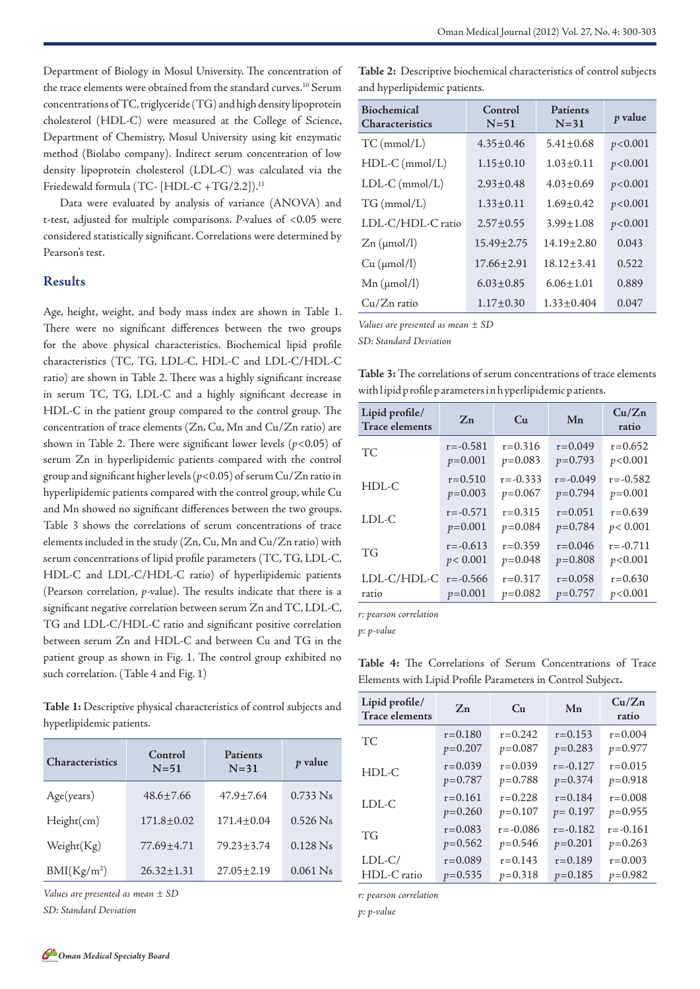Department of Biology in Mosul University. The concentration of the trace elements were obtained from the standard curves.<sup>10</sup> Serum concentrations of TC, triglyceride (TG) and high density lipoprotein cholesterol (HDL-C) were measured at the College of Science, Department of Chemistry, Mosul University using kit enzymatic method (Biolabo company). Indirect serum concentration of low density lipoprotein cholesterol (LDL-C) was calculated via the Friedewald formula (TC- [HDL-C +TG/2.2]).<sup>11</sup>

Data were evaluated by analysis of variance (ANOVA) and t-test, adjusted for multiple comparisons. *P-*values of <0.05 were considered statistically significant. Correlations were determined by Pearson's test.

#### **Results**

Age, height, weight, and body mass index are shown in Table 1. There were no significant differences between the two groups for the above physical characteristics. Biochemical lipid profile characteristics (TC, TG, LDL-C, HDL-C and LDL-C/HDL-C ratio) are shown in Table 2. There was a highly significant increase in serum TC, TG, LDL-C and a highly significant decrease in HDL-C in the patient group compared to the control group. The concentration of trace elements (Zn, Cu, Mn and Cu/Zn ratio) are shown in Table 2. There were significant lower levels (*p*<0.05) of serum Zn in hyperlipidemic patients compared with the control group and significant higher levels (*p*<0.05) of serum Cu/Zn ratio in hyperlipidemic patients compared with the control group, while Cu and Mn showed no significant differences between the two groups. Table 3 shows the correlations of serum concentrations of trace elements included in the study (Zn, Cu, Mn and Cu/Zn ratio) with serum concentrations of lipid profile parameters (TC, TG, LDL-C, HDL-C and LDL-C/HDL-C ratio) of hyperlipidemic patients (Pearson correlation, *p-*value). The results indicate that there is a significant negative correlation between serum Zn and TC, LDL-C, TG and LDL-C/HDL-C ratio and significant positive correlation between serum Zn and HDL-C and between Cu and TG in the patient group as shown in Fig. 1. The control group exhibited no such correlation. (Table 4 and Fig. 1)

**Table 1:** Descriptive physical characteristics of control subjects and hyperlipidemic patients.

| <b>Characteristics</b>  | Control<br>$N=51$ | Patients<br>$N=31$ | p value    |
|-------------------------|-------------------|--------------------|------------|
| Age(years)              | $48.6 \pm 7.66$   | $47.9 \pm 7.64$    | $0.733$ Ns |
| Height(cm)              | $171.8 \pm 0.02$  | $171.4 \pm 0.04$   | $0.526$ Ns |
| Weight(Kg)              | 77.69±4.71        | $79.23 + 3.74$     | $0.128$ Ns |
| BMI(Kg/m <sup>2</sup> ) | $26.32 \pm 1.31$  | $27.05 \pm 2.19$   | $0.061$ Ns |

*Values are presented as mean ± SD* 

*SD: Standard Deviation*

**Table 2:** Descriptive biochemical characteristics of control subjects and hyperlipidemic patients.

| <b>Biochemical</b><br><b>Characteristics</b> | Control<br>$N=51$ | Patients<br>$N=31$ | <i>p</i> value |
|----------------------------------------------|-------------------|--------------------|----------------|
| $TC \, (mmol/L)$                             | $4.35 + 0.46$     | $5.41 \pm 0.68$    | p < 0.001      |
| $HDL-C$ (mmol/L)                             | $1.15 + 0.10$     | $1.03 + 0.11$      | p < 0.001      |
| $LDL-C (mmol/L)$                             | $2.93 + 0.48$     | $4.03 + 0.69$      | p < 0.001      |
| $TG$ (mmol/L)                                | $1.33 \pm 0.11$   | $1.69 \pm 0.42$    | p < 0.001      |
| LDL-C/HDL-C ratio                            | $2.57 + 0.55$     | $3.99 + 1.08$      | p < 0.001      |
| $Zn \, (\mu \text{mol/l})$                   | $15.49 + 2.75$    | $14.19 + 2.80$     | 0.043          |
| Cu (µmol/l)                                  | $17.66 \pm 2.91$  | $18.12 \pm 3.41$   | 0.522          |
| $Mn$ ( $\mu$ mol/l)                          | $6.03 + 0.85$     | $6.06 + 1.01$      | 0.889          |
| $Cu/Zn$ ratio                                | $1.17 \pm 0.30$   | $1.33 \pm 0.404$   | 0.047          |

*Values are presented as mean ± SD* 

*SD: Standard Deviation* 

**Table 3:** The correlations of serum concentrations of trace elements with lipid profile parameters in hyperlipidemic patients.

| Lipid profile/<br><b>Trace elements</b> | $Z_{n}$      | Cu           | Mn           | Cu/Zn<br>ratio |
|-----------------------------------------|--------------|--------------|--------------|----------------|
| <b>TC</b>                               | $r = -0.581$ | $r = 0.316$  | $r = 0.049$  | $r = 0.652$    |
|                                         | $p=0.001$    | $p=0.083$    | $p=0.793$    | p<0.001        |
| $HDL-C$                                 | $r = 0.510$  | $r = -0.333$ | $r = -0.049$ | $r = -0.582$   |
|                                         | $p=0.003$    | $p=0.067$    | $p=0.794$    | $p = 0.001$    |
| LDL-C                                   | $r = -0.571$ | $r = 0.315$  | $r = 0.051$  | $r = 0.639$    |
|                                         | $p=0.001$    | $p=0.084$    | $p=0.784$    | p < 0.001      |
| <b>TG</b>                               | $r = -0.613$ | $r = 0.359$  | $r = 0.046$  | $r = -0.711$   |
|                                         | p < 0.001    | $p=0.048$    | $p=0.808$    | p < 0.001      |
| LDL-C/HDL-C                             | $r = -0.566$ | $r = 0.317$  | $r = 0.058$  | $r = 0.630$    |
| ratio                                   | $p=0.001$    | $p=0.082$    | $p=0.757$    | p < 0.001      |

*r: pearson correlation*

*p: p-value*

**Table 4:** The Correlations of Serum Concentrations of Trace Elements with Lipid Profile Parameters in Control Subject**.** 

| Lipid profile/<br><b>Trace elements</b> | $Z_{n}$     | Cu           | Mn           | Cu/Zn<br>ratio |
|-----------------------------------------|-------------|--------------|--------------|----------------|
| TС                                      | $r = 0.180$ | $r = 0.242$  | $r = 0.153$  | $r = 0.004$    |
|                                         | $p=0.207$   | $p=0.087$    | $p=0.283$    | $p=0.977$      |
| HDL-C                                   | $r = 0.039$ | $r = 0.039$  | $r = -0.127$ | $r = 0.015$    |
|                                         | $p=0.787$   | $p=0.788$    | $p=0.374$    | $p=0.918$      |
| LDL-C                                   | $r = 0.161$ | $r = 0.228$  | $r = 0.184$  | $r = 0.008$    |
|                                         | $p=0.260$   | $p=0.107$    | $p = 0.197$  | $p=0.955$      |
| TG                                      | $r = 0.083$ | $r = -0.086$ | $r = -0.182$ | $r = -0.161$   |
|                                         | $p=0.562$   | $p=0.546$    | $p=0.201$    | $p=0.263$      |
| $LDL-C/$                                | $r = 0.089$ | $r = 0.143$  | $r = 0.189$  | $r = 0.003$    |
| HDL-C ratio                             | $p=0.535$   | $p=0.318$    | $p=0.185$    | $p=0.982$      |

*r: pearson correlation*

*p: p-value*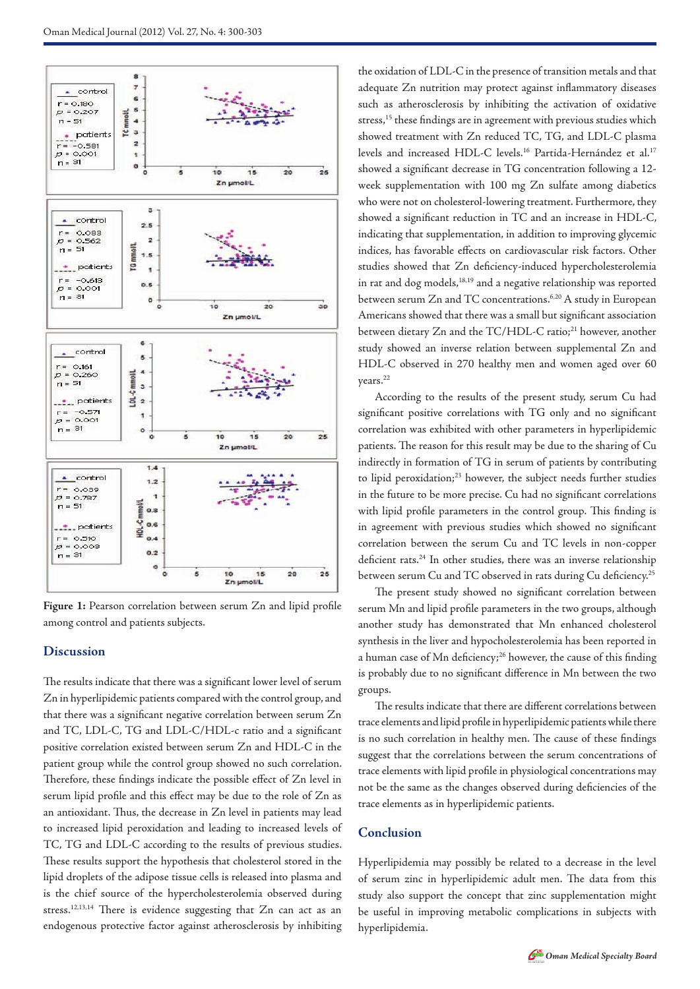



#### **Discussion**

The results indicate that there was a significant lower level of serum Zn in hyperlipidemic patients compared with the control group, and that there was a significant negative correlation between serum Zn and TC, LDL-C, TG and LDL-C/HDL-c ratio and a significant positive correlation existed between serum Zn and HDL-C in the patient group while the control group showed no such correlation. Therefore, these findings indicate the possible effect of Zn level in serum lipid profile and this effect may be due to the role of Zn as an antioxidant. Thus, the decrease in Zn level in patients may lead to increased lipid peroxidation and leading to increased levels of TC, TG and LDL-C according to the results of previous studies. These results support the hypothesis that cholesterol stored in the lipid droplets of the adipose tissue cells is released into plasma and is the chief source of the hypercholesterolemia observed during stress.12,13,14 There is evidence suggesting that Zn can act as an endogenous protective factor against atherosclerosis by inhibiting

the oxidation of LDL-C in the presence of transition metals and that adequate Zn nutrition may protect against inflammatory diseases such as atherosclerosis by inhibiting the activation of oxidative stress,<sup>15</sup> these findings are in agreement with previous studies which showed treatment with Zn reduced TC, TG, and LDL-C plasma levels and increased HDL-C levels.<sup>16</sup> Partida-Hernández et al.<sup>17</sup> showed a significant decrease in TG concentration following a 12 week supplementation with 100 mg Zn sulfate among diabetics who were not on cholesterol-lowering treatment. Furthermore, they showed a significant reduction in TC and an increase in HDL-C, indicating that supplementation, in addition to improving glycemic indices, has favorable effects on cardiovascular risk factors. Other studies showed that Zn deficiency-induced hypercholesterolemia in rat and dog models,<sup>18,19</sup> and a negative relationship was reported between serum Zn and TC concentrations.<sup>6,20</sup> A study in European Americans showed that there was a small but significant association between dietary Zn and the TC/HDL-C ratio;<sup>21</sup> however, another study showed an inverse relation between supplemental Zn and HDL-C observed in 270 healthy men and women aged over 60 years.22

According to the results of the present study, serum Cu had significant positive correlations with TG only and no significant correlation was exhibited with other parameters in hyperlipidemic patients. The reason for this result may be due to the sharing of Cu indirectly in formation of TG in serum of patients by contributing to lipid peroxidation;<sup>23</sup> however, the subject needs further studies in the future to be more precise. Cu had no significant correlations with lipid profile parameters in the control group. This finding is in agreement with previous studies which showed no significant correlation between the serum Cu and TC levels in non-copper deficient rats.<sup>24</sup> In other studies, there was an inverse relationship between serum Cu and TC observed in rats during Cu deficiency.<sup>25</sup>

The present study showed no significant correlation between serum Mn and lipid profile parameters in the two groups, although another study has demonstrated that Mn enhanced cholesterol synthesis in the liver and hypocholesterolemia has been reported in a human case of Mn deficiency;<sup>26</sup> however, the cause of this finding is probably due to no significant difference in Mn between the two groups.

The results indicate that there are different correlations between trace elements and lipid profile in hyperlipidemic patients while there is no such correlation in healthy men. The cause of these findings suggest that the correlations between the serum concentrations of trace elements with lipid profile in physiological concentrations may not be the same as the changes observed during deficiencies of the trace elements as in hyperlipidemic patients.

### **Conclusion**

Hyperlipidemia may possibly be related to a decrease in the level of serum zinc in hyperlipidemic adult men. The data from this study also support the concept that zinc supplementation might be useful in improving metabolic complications in subjects with hyperlipidemia.